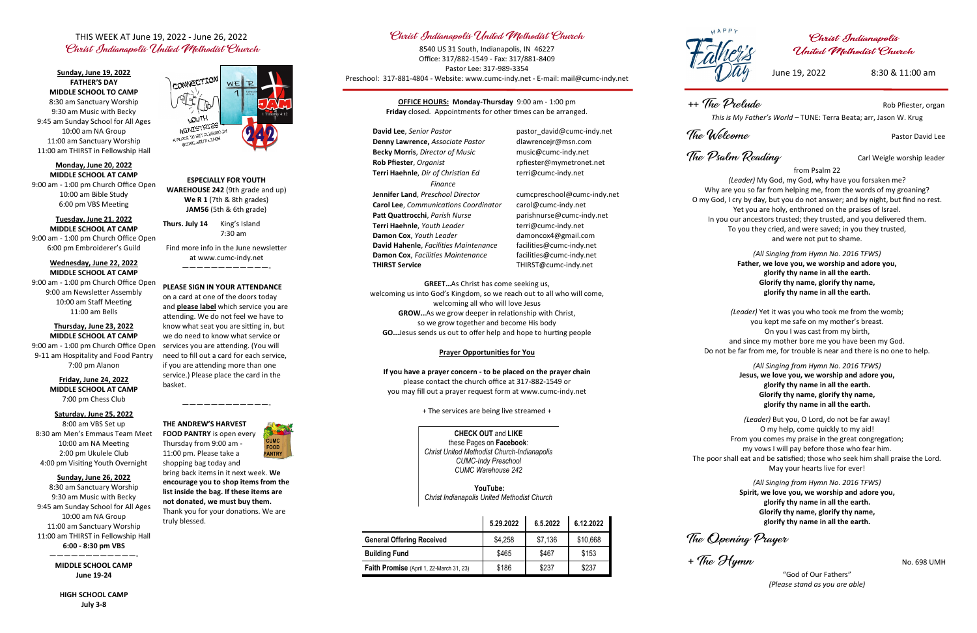THIS WEEK AT June 19, 2022 - June 26, 2022 Christ Indianapolis United Methodist Church

## **FATHER'S DAY MIDDLE SCHOOL TO CAMP** 8:30 am Sanctuary Worship 9:30 am Music with Becky 9:45 am Sunday School for All Ages 10:00 am NA Group

11:00 am Sanctuary Worship 11:00 am THIRST in Fellowship Hall

## **Monday, June 20, 2022 MIDDLE SCHOOL AT CAMP**

9:00 am - 1:00 pm Church Office Open 10:00 am Bible Study 6:00 pm VBS Meeting

> **Tuesday, June 21, 2022 MIDDLE SCHOOL AT CAMP**

9:00 am - 1:00 pm Church Office Open 6:00 pm Embroiderer's Guild

### **Wednesday, June 22, 2022 MIDDLE SCHOOL AT CAMP**

9:00 am - 1:00 pm Church Office Open 9:00 am Newsletter Assembly 10:00 am Staff Meeting 11:00 am Bells

### **Thursday, June 23, 2022 MIDDLE SCHOOL AT CAMP**

9:00 am - 1:00 pm Church Office Open 9-11 am Hospitality and Food Pantry 7:00 pm Alanon

### **Friday, June 24, 2022 MIDDLE SCHOOL AT CAMP** 7:00 pm Chess Club

**Saturday, June 25, 2022**

8:00 am VBS Set up 8:30 am Men's Emmaus Team Meet 10:00 am NA Meeting 2:00 pm Ukulele Club 4:00 pm Visiting Youth Overnight

### **Sunday, June 26, 2022**

8:30 am Sanctuary Worship 9:30 am Music with Becky 9:45 am Sunday School for All Ages 10:00 am NA Group 11:00 am Sanctuary Worship 11:00 am THIRST in Fellowship Hall **6:00 - 8:30 pm VBS**

————————————-

**MIDDLE SCHOOL CAMP June 19-24**

Example 19, 2022 8:30 & 11:00 am 8540 US 31 South, Indianapolis, IN 46227 Office: 317/882-1549 - Fax: 317/881-8409 Pastor Lee: 317-989-3354



**ESPECIALLY FOR YOUTH WAREHOUSE 242** (9th grade and up) **We R 1** (7th & 8th grades) **JAM56** (5th & 6th grade)

**Thurs. July 14** King's Island 7:30 am

Find more info in the June newsletter at www.cumc-indy.net ————————————-

## **PLEASE SIGN IN YOUR ATTENDANCE**

**David Lee**, *Senior Pastor* **pastor** pastor david@cumc-indy.net **Denny Lawrence,** *Associate Pastor* dlawrencejr@msn.com **Becky Morris**, *Director of Music* music@cumc-indy.net **Rob Pfiester**, *Organist* rpfiester@mymetronet.net **Terri Haehnle**, *Dir of Christian Ed* terri@cumc-indy.net *Finance* **Jennifer Land**, *Preschool Director* cumcpreschool@cumc-indy.net **Carol Lee**, *Communications Coordinator* carol@cumc-indy.net Patt Quattrocchi, *Parish Nurse* parishnurse@cumc-indy.net **Terri Haehnle**, *Youth Leader* terri@cumc-indy.net **Damon Cox**, *Youth Leader* damoncox4@gmail.com **David Hahenle**, *Facilities Maintenance* facilities@cumc-indy.net **Damon Cox**, *Facilities Maintenance* facilities@cumc-indy.net **THIRST Service** THIRST@cumc-indy.net

on a card at one of the doors today and **please label** which service you are attending. We do not feel we have to know what seat you are sitting in, but we do need to know what service or services you are attending. (You will need to fill out a card for each service, if you are attending more than one service.) Please place the card in the basket.



shopping bag today and bring back items in it next week. **We encourage you to shop items from the list inside the bag. If these items are not donated, we must buy them.**  Thank you for your donations. We are truly blessed.

**CHECK OUT** and **LIKE** these Pages on **Facebook**: *Christ United Methodist Church-Indianapolis CUMC-Indy Preschool CUMC Warehouse 242*

**YouTube:** *Christ Indianapolis United Methodist Church*

## Christ Indianapolis United Methodist Church

**OFFICE HOURS: Monday-Thursday** 9:00 am - 1:00 pm **Friday** closed. Appointments for other times can be arranged.

**GREET…**As Christ has come seeking us, welcoming us into God's Kingdom, so we reach out to all who will come, welcoming all who will love Jesus **GROW…**As we grow deeper in relationship with Christ, so we grow together and become His body **GO...**Jesus sends us out to offer help and hope to hurting people

### **Prayer Opportunities for You**

**If you have a prayer concern - to be placed on the prayer chain** please contact the church office at 317-882-1549 or you may fill out a prayer request form at www.cumc-indy.net

+ The services are being live streamed +

|                                          | 5.29.2022 | 6.5.2022 | 6.12.2022 |
|------------------------------------------|-----------|----------|-----------|
| <b>General Offering Received</b>         | \$4,258   | \$7,136  | \$10,668  |
| <b>Building Fund</b>                     | \$465     | \$467    | \$153     |
| Faith Promise (April 1, 22-March 31, 23) | \$186     | \$237    | \$237     |

Christ Indianapolis United Wethodist Church

++ The Prelude Rob Pfiester, organ

*This is My Father's World –* TUNE: Terra Beata; arr, Jason W. Krug

The Psalm Reading Carl Weigle worship leader

from Psalm 22

*(Leader)* My God, my God, why have you forsaken me? Why are you so far from helping me, from the words of my groaning? O my God, I cry by day, but you do not answer; and by night, but find no rest. Yet you are holy, enthroned on the praises of Israel. In you our ancestors trusted; they trusted, and you delivered them. To you they cried, and were saved; in you they trusted, and were not put to shame.

> *(All Singing from Hymn No. 2016 TFWS)* **Father, we love you, we worship and adore you, glorify thy name in all the earth. Glorify thy name, glorify thy name, glorify thy name in all the earth.**

*(Leader)* Yet it was you who took me from the womb; you kept me safe on my mother's breast. On you I was cast from my birth, and since my mother bore me you have been my God. Do not be far from me, for trouble is near and there is no one to help.

> *(All Singing from Hymn No. 2016 TFWS)* **Jesus, we love you, we worship and adore you, glorify thy name in all the earth. Glorify thy name, glorify thy name, glorify thy name in all the earth.**

*(Leader)* But you, O Lord, do not be far away! O my help, come quickly to my aid! From you comes my praise in the great congregation; my vows I will pay before those who fear him. The poor shall eat and be satisfied; those who seek him shall praise the Lord. May your hearts live for ever!

> *(All Singing from Hymn No. 2016 TFWS)* **Spirit, we love you, we worship and adore you, glorify thy name in all the earth. Glorify thy name, glorify thy name, glorify thy name in all the earth.**

The Opening Prayer

 $+$  The Hymn  $\overline{S}$ 

"God of Our Fathers" *(Please stand as you are able)*

**The Welcome Pastor David Lee**